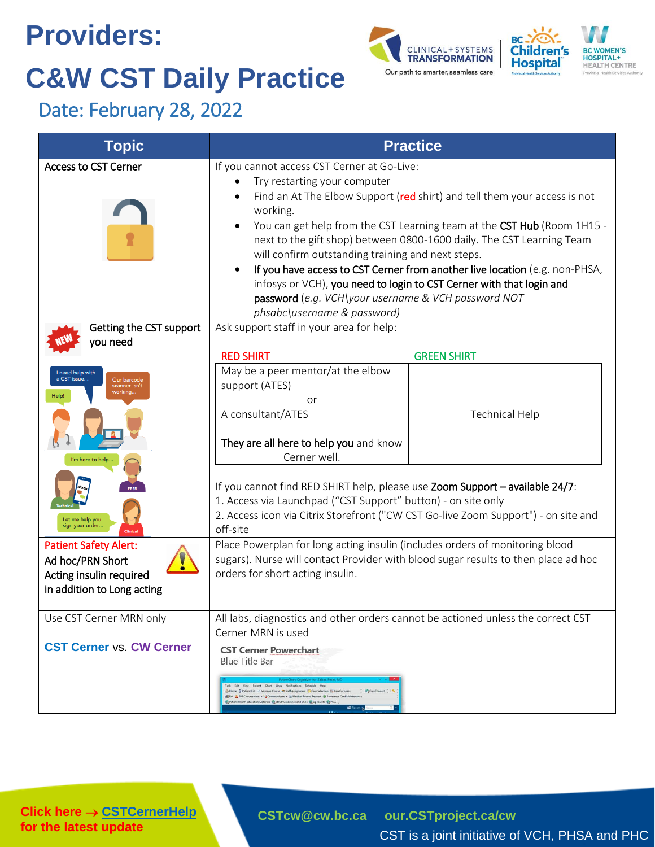# **Providers: C&W CST Daily Practice**





**Update** Date: February 28, 2022

| <b>Topic</b>                                                                                              | <b>Practice</b>                                                                                                                                                                                                                                                                                                                                                                                                                                                                                                                                                                                                            |                       |
|-----------------------------------------------------------------------------------------------------------|----------------------------------------------------------------------------------------------------------------------------------------------------------------------------------------------------------------------------------------------------------------------------------------------------------------------------------------------------------------------------------------------------------------------------------------------------------------------------------------------------------------------------------------------------------------------------------------------------------------------------|-----------------------|
| <b>Access to CST Cerner</b>                                                                               | If you cannot access CST Cerner at Go-Live:<br>Try restarting your computer<br>Find an At The Elbow Support (red shirt) and tell them your access is not<br>working.<br>You can get help from the CST Learning team at the CST Hub (Room 1H15 -<br>next to the gift shop) between 0800-1600 daily. The CST Learning Team<br>will confirm outstanding training and next steps.<br>If you have access to CST Cerner from another live location (e.g. non-PHSA,<br>infosys or VCH), you need to login to CST Cerner with that login and<br>password (e.g. VCH\your username & VCH password NOT<br>phsabc\username & password) |                       |
| Getting the CST support<br>you need<br>I need help with<br>a CST issue<br>Our barcode<br>scanner isn't    | Ask support staff in your area for help:<br><b>RED SHIRT</b><br>May be a peer mentor/at the elbow<br>support (ATES)                                                                                                                                                                                                                                                                                                                                                                                                                                                                                                        | <b>GREEN SHIRT</b>    |
| working<br>m here to help.                                                                                | or<br>A consultant/ATES<br>They are all here to help you and know<br>Cerner well.                                                                                                                                                                                                                                                                                                                                                                                                                                                                                                                                          | <b>Technical Help</b> |
| Let me help you<br>sign your order<br>Clinica                                                             | If you cannot find RED SHIRT help, please use Zoom Support - available 24/7:<br>1. Access via Launchpad ("CST Support" button) - on site only<br>2. Access icon via Citrix Storefront ("CW CST Go-live Zoom Support") - on site and<br>off-site                                                                                                                                                                                                                                                                                                                                                                            |                       |
| <b>Patient Safety Alert:</b><br>Ad hoc/PRN Short<br>Acting insulin required<br>in addition to Long acting | Place Powerplan for long acting insulin (includes orders of monitoring blood<br>sugars). Nurse will contact Provider with blood sugar results to then place ad hoc<br>orders for short acting insulin.                                                                                                                                                                                                                                                                                                                                                                                                                     |                       |
| Use CST Cerner MRN only                                                                                   | All labs, diagnostics and other orders cannot be actioned unless the correct CST<br>Cerner MRN is used                                                                                                                                                                                                                                                                                                                                                                                                                                                                                                                     |                       |
| <b>CST Cerner vs. CW Cerner</b>                                                                           | <b>CST Cerner Powerchart</b><br><b>Blue Title Bar</b><br>Edit View Patient Chart Links Notifications Schedule<br>CareConnect<br>Home & Patient List _J Message Centre ## Staff Assignment & Case Selection # CareCompass<br>Suit & PM Conversation . JCommunicate . JL Medical Record Request @ Preference Card Maintenance<br>Patient Health Education Materials @ SHOP Guidelines and DSTs @ UpToDate @ PSLS<br><b>Recent K.</b>                                                                                                                                                                                         |                       |

**Click here → [CSTCernerHelp](http://cstcernerhelp.healthcarebc.ca/#t%3DWhats_New%2FWhat_s_New.htm=&t=CST_Cerner_Help.htm) for the latest update**

**[CSTcw@cw.bc.ca](mailto:CSTcw@cw.bc.ca) [our.CSTproject.ca/cw](https://transformationcentral.vch.ca/cw)**

CST is a joint initiative of VCH, PHSA and PHC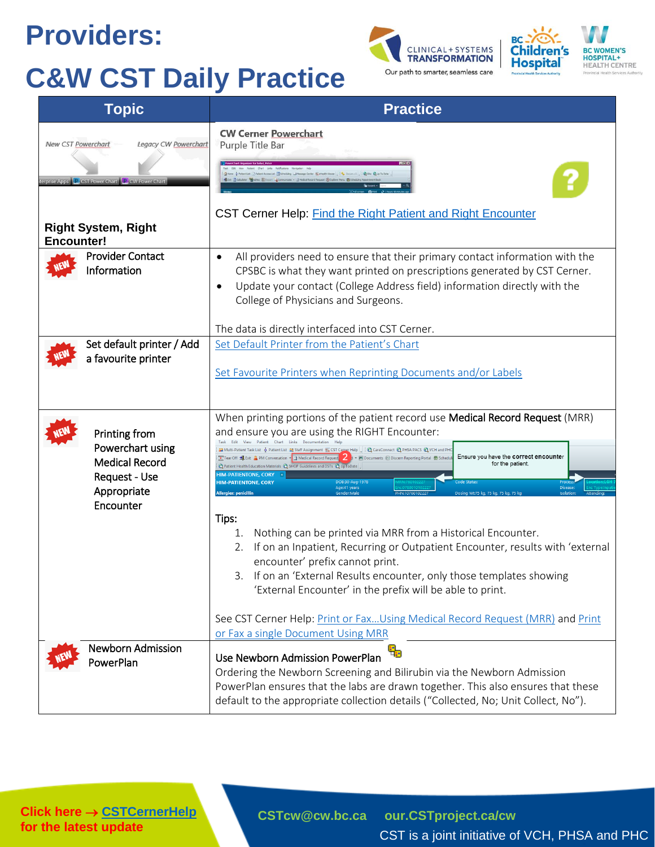#### **Providers:**

## **C&W CST Daily Practice**





| <b>Topic</b>                                                                                                                                    | <b>Practice</b>                                                                                                                                                                                                                                                                                                                                                                                                                                                                                                                                                                                                                                                                                                                                                                                                                                                                                                                                                                                                                                                                                                                                                                                         |  |
|-------------------------------------------------------------------------------------------------------------------------------------------------|---------------------------------------------------------------------------------------------------------------------------------------------------------------------------------------------------------------------------------------------------------------------------------------------------------------------------------------------------------------------------------------------------------------------------------------------------------------------------------------------------------------------------------------------------------------------------------------------------------------------------------------------------------------------------------------------------------------------------------------------------------------------------------------------------------------------------------------------------------------------------------------------------------------------------------------------------------------------------------------------------------------------------------------------------------------------------------------------------------------------------------------------------------------------------------------------------------|--|
| <b>New CST Powerchart</b><br>Legacy CW Powerchart<br>erprise Apps <b>C</b> CST Power Chart <b>C</b> CW Power Char<br><b>Right System, Right</b> | <b>CW Cerner Powerchart</b><br>Purple Title Bar<br>MAdrid Count -Commistate . J Medical Record Request @ Expli<br>CST Cerner Help: Find the Right Patient and Right Encounter                                                                                                                                                                                                                                                                                                                                                                                                                                                                                                                                                                                                                                                                                                                                                                                                                                                                                                                                                                                                                           |  |
| <b>Encounter!</b><br><b>Provider Contact</b><br>Information                                                                                     | All providers need to ensure that their primary contact information with the<br>$\bullet$<br>CPSBC is what they want printed on prescriptions generated by CST Cerner.<br>Update your contact (College Address field) information directly with the<br>$\bullet$<br>College of Physicians and Surgeons.                                                                                                                                                                                                                                                                                                                                                                                                                                                                                                                                                                                                                                                                                                                                                                                                                                                                                                 |  |
| Set default printer / Add<br>a favourite printer                                                                                                | The data is directly interfaced into CST Cerner.<br>Set Default Printer from the Patient's Chart<br>Set Favourite Printers when Reprinting Documents and/or Labels                                                                                                                                                                                                                                                                                                                                                                                                                                                                                                                                                                                                                                                                                                                                                                                                                                                                                                                                                                                                                                      |  |
| Printing from<br>Powerchart using<br><b>Medical Record</b><br>Request - Use<br>Appropriate<br>Encounter                                         | When printing portions of the patient record use Medical Record Request (MRR)<br>and ensure you are using the RIGHT Encounter:<br>Edit View Patient Chart Links Documentation Help<br>aa Multi-Patient Task List ☆ Patient List as Staff Assignment ## CST Cerner Help       ● CareConnect ● PHSA PACS ● VCH and PHC<br>Tear Off Male Exit & PM Conversation v a) Medical Record Request 3 v + Documents 2 Discern Reporting Portal a Schedu<br>Ensure you have the correct encounter<br>for the patient.<br>Relation Health Education Materials & SHOP Guidelines and DSTs & UpToDate<br><b>HIM-PATIENTONE, CORY</b><br><b>HIM-PATIENTONE, CORY</b><br>DOB:30-Aug-197<br>Age:41 years<br><b>Diseas</b><br><b>Allergies: penicillin</b><br>Dosina Wt:75 kg, 75 kg, 75 kg, 75 l<br>Tips:<br>Nothing can be printed via MRR from a Historical Encounter.<br>1.<br>If on an Inpatient, Recurring or Outpatient Encounter, results with 'external<br>encounter' prefix cannot print.<br>3. If on an 'External Results encounter, only those templates showing<br>'External Encounter' in the prefix will be able to print.<br>See CST Cerner Help: Print or FaxUsing Medical Record Request (MRR) and Print |  |
| <b>Newborn Admission</b><br>PowerPlan                                                                                                           | or Fax a single Document Using MRR<br>品<br>Use Newborn Admission PowerPlan<br>Ordering the Newborn Screening and Bilirubin via the Newborn Admission<br>PowerPlan ensures that the labs are drawn together. This also ensures that these<br>default to the appropriate collection details ("Collected, No; Unit Collect, No").                                                                                                                                                                                                                                                                                                                                                                                                                                                                                                                                                                                                                                                                                                                                                                                                                                                                          |  |

**Click here → [CSTCernerHelp](http://cstcernerhelp.healthcarebc.ca/#t%3DWhats_New%2FWhat_s_New.htm=&t=CST_Cerner_Help.htm) for the latest update**

**[CSTcw@cw.bc.ca](mailto:CSTcw@cw.bc.ca) [our.CSTproject.ca/cw](https://transformationcentral.vch.ca/cw)** CST is a joint initiative of VCH, PHSA and PHC